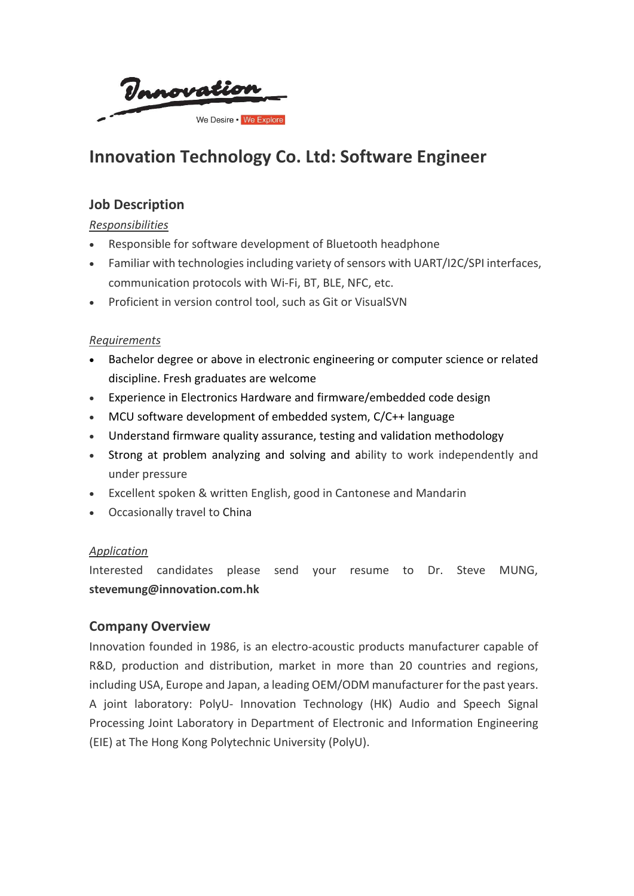Vanovation We Desire . We Explore

# **Innovation Technology Co. Ltd: Software Engineer**

## **Job Description**

*Responsibilities*

- Responsible for software development of Bluetooth headphone
- Familiar with technologies including variety of sensors with UART/I2C/SPI interfaces, communication protocols with Wi-Fi, BT, BLE, NFC, etc.
- Proficient in version control tool, such as Git or VisualSVN

#### *Requirements*

- Bachelor degree or above in electronic engineering or computer science or related discipline. Fresh graduates are welcome
- Experience in Electronics Hardware and firmware/embedded code design
- MCU software development of embedded system, C/C++ language
- Understand firmware quality assurance, testing and validation methodology
- Strong at problem analyzing and solving and ability to work independently and under pressure
- Excellent spoken & written English, good in Cantonese and Mandarin
- Occasionally travel to China

#### *Application*

Interested candidates please send your resume to Dr. Steve MUNG, **stevemung@innovation.com.hk**

### **Company Overview**

Innovation founded in 1986, is an electro-acoustic products manufacturer capable of R&D, production and distribution, market in more than 20 countries and regions, including USA, Europe and Japan, a leading OEM/ODM manufacturer for the past years. A joint laboratory: PolyU- Innovation Technology (HK) Audio and Speech Signal Processing Joint Laboratory in Department of Electronic and Information Engineering (EIE) at The Hong Kong Polytechnic University (PolyU).